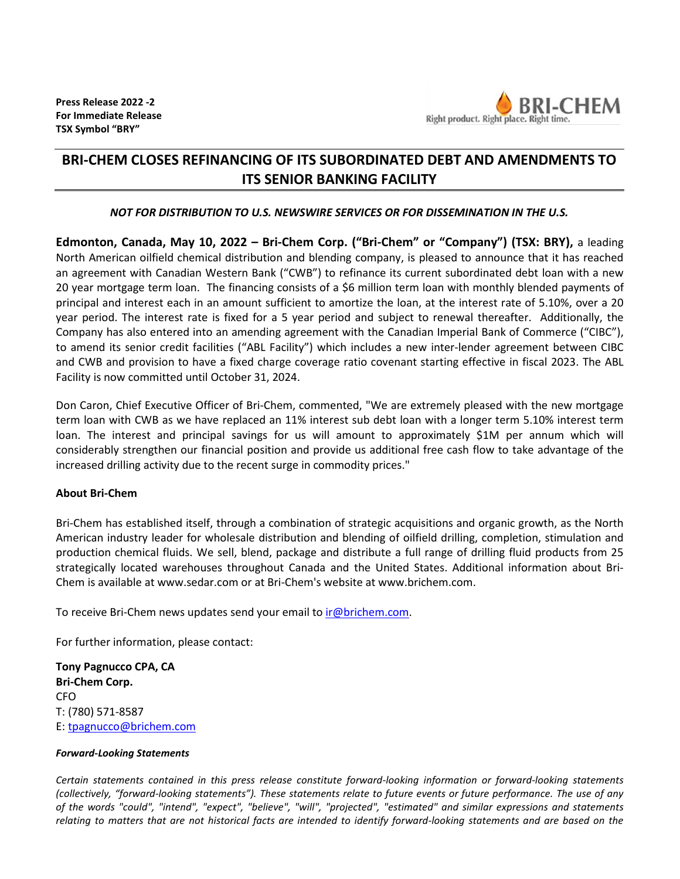

## **BRI-CHEM CLOSES REFINANCING OF ITS SUBORDINATED DEBT AND AMENDMENTS TO ITS SENIOR BANKING FACILITY**

## *NOT FOR DISTRIBUTION TO U.S. NEWSWIRE SERVICES OR FOR DISSEMINATION IN THE U.S.*

**Edmonton, Canada, May 10, 2022 – Bri-Chem Corp. ("Bri-Chem" or "Company") (TSX: BRY),** a leading North American oilfield chemical distribution and blending company, is pleased to announce that it has reached an agreement with Canadian Western Bank ("CWB") to refinance its current subordinated debt loan with a new 20 year mortgage term loan. The financing consists of a \$6 million term loan with monthly blended payments of principal and interest each in an amount sufficient to amortize the loan, at the interest rate of 5.10%, over a 20 year period. The interest rate is fixed for a 5 year period and subject to renewal thereafter. Additionally, the Company has also entered into an amending agreement with the Canadian Imperial Bank of Commerce ("CIBC"), to amend its senior credit facilities ("ABL Facility") which includes a new inter-lender agreement between CIBC and CWB and provision to have a fixed charge coverage ratio covenant starting effective in fiscal 2023. The ABL Facility is now committed until October 31, 2024.

Don Caron, Chief Executive Officer of Bri-Chem, commented, "We are extremely pleased with the new mortgage term loan with CWB as we have replaced an 11% interest sub debt loan with a longer term 5.10% interest term loan. The interest and principal savings for us will amount to approximately \$1M per annum which will considerably strengthen our financial position and provide us additional free cash flow to take advantage of the increased drilling activity due to the recent surge in commodity prices."

## **About Bri-Chem**

Bri-Chem has established itself, through a combination of strategic acquisitions and organic growth, as the North American industry leader for wholesale distribution and blending of oilfield drilling, completion, stimulation and production chemical fluids. We sell, blend, package and distribute a full range of drilling fluid products from 25 strategically located warehouses throughout Canada and the United States. Additional information about Bri-Chem is available a[t www.sedar.com](http://www.sedar.com/) or at Bri-Chem's website a[t www.brichem.com.](http://www.brichem.com/)

To receive Bri-Chem news updates send your email to [ir@brichem.com.](mailto:ir@brichem.com)

For further information, please contact:

**Tony Pagnucco CPA, CA Bri-Chem Corp.** CFO T: (780) 571-8587 E: [tpagnucco@brichem.com](mailto:tpagnucco@brichem.com)

## *Forward-Looking Statements*

*Certain statements contained in this press release constitute forward-looking information or forward-looking statements (collectively, "forward-looking statements"). These statements relate to future events or future performance. The use of any of the words "could", "intend", "expect", "believe", "will", "projected", "estimated" and similar expressions and statements relating to matters that are not historical facts are intended to identify forward-looking statements and are based on the*